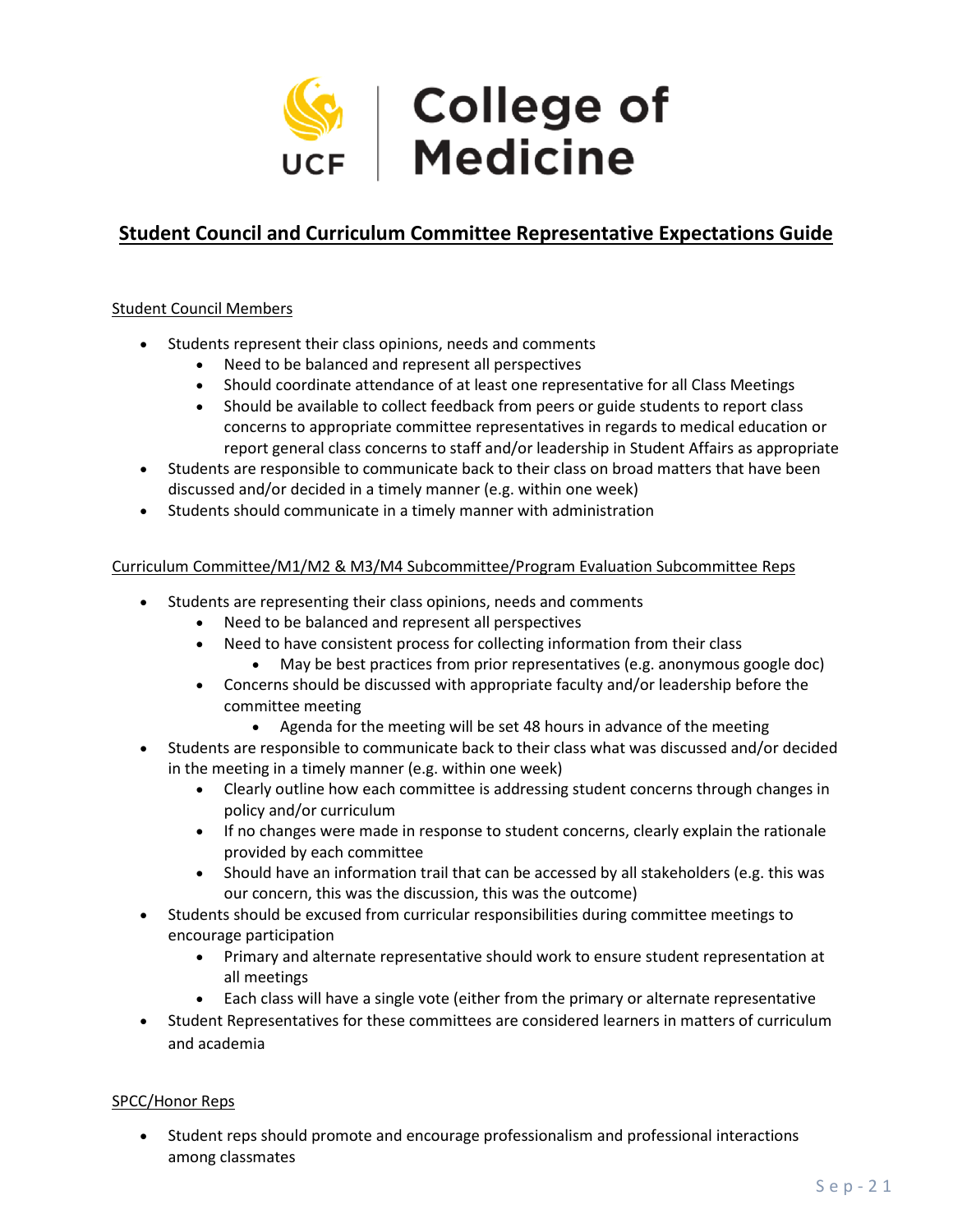

# **Student Council and Curriculum Committee Representative Expectations Guide**

## Student Council Members

- Students represent their class opinions, needs and comments
	- Need to be balanced and represent all perspectives
	- Should coordinate attendance of at least one representative for all Class Meetings
	- Should be available to collect feedback from peers or guide students to report class concerns to appropriate committee representatives in regards to medical education or report general class concerns to staff and/or leadership in Student Affairs as appropriate
- Students are responsible to communicate back to their class on broad matters that have been discussed and/or decided in a timely manner (e.g. within one week)
- Students should communicate in a timely manner with administration

#### Curriculum Committee/M1/M2 & M3/M4 Subcommittee/Program Evaluation Subcommittee Reps

- Students are representing their class opinions, needs and comments
	- Need to be balanced and represent all perspectives
	- Need to have consistent process for collecting information from their class
		- May be best practices from prior representatives (e.g. anonymous google doc)
	- Concerns should be discussed with appropriate faculty and/or leadership before the committee meeting
		- Agenda for the meeting will be set 48 hours in advance of the meeting
- Students are responsible to communicate back to their class what was discussed and/or decided in the meeting in a timely manner (e.g. within one week)
	- Clearly outline how each committee is addressing student concerns through changes in policy and/or curriculum
	- If no changes were made in response to student concerns, clearly explain the rationale provided by each committee
	- Should have an information trail that can be accessed by all stakeholders (e.g. this was our concern, this was the discussion, this was the outcome)
- Students should be excused from curricular responsibilities during committee meetings to encourage participation
	- Primary and alternate representative should work to ensure student representation at all meetings
	- Each class will have a single vote (either from the primary or alternate representative
- Student Representatives for these committees are considered learners in matters of curriculum and academia

# SPCC/Honor Reps

• Student reps should promote and encourage professionalism and professional interactions among classmates